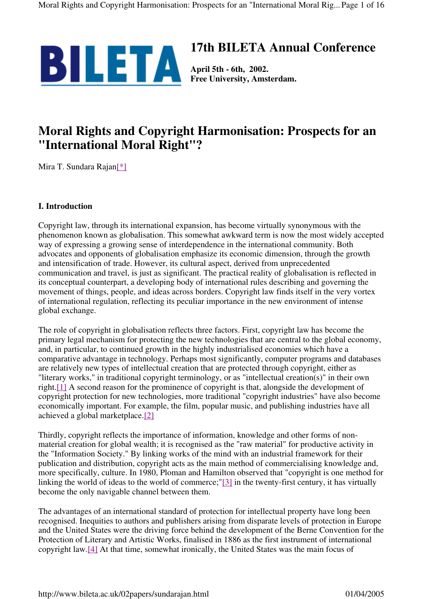

# **17th BILETA Annual Conference**

**Free University, Amsterdam.**

# **Moral Rights and Copyright Harmonisation: Prospects for an "International Moral Right"?**

Mira T. Sundara Rajan[\*]

## **I. Introduction**

Copyright law, through its international expansion, has become virtually synonymous with the phenomenon known as globalisation. This somewhat awkward term is now the most widely accepted way of expressing a growing sense of interdependence in the international community. Both advocates and opponents of globalisation emphasize its economic dimension, through the growth and intensification of trade. However, its cultural aspect, derived from unprecedented communication and travel, is just as significant. The practical reality of globalisation is reflected in its conceptual counterpart, a developing body of international rules describing and governing the movement of things, people, and ideas across borders. Copyright law finds itself in the very vortex of international regulation, reflecting its peculiar importance in the new environment of intense global exchange.

The role of copyright in globalisation reflects three factors. First, copyright law has become the primary legal mechanism for protecting the new technologies that are central to the global economy, and, in particular, to continued growth in the highly industrialised economies which have a comparative advantage in technology. Perhaps most significantly, computer programs and databases are relatively new types of intellectual creation that are protected through copyright, either as "literary works," in traditional copyright terminology, or as "intellectual creation(s)" in their own right.[1] A second reason for the prominence of copyright is that, alongside the development of copyright protection for new technologies, more traditional "copyright industries" have also become economically important. For example, the film, popular music, and publishing industries have all achieved a global marketplace.[2]

Thirdly, copyright reflects the importance of information, knowledge and other forms of nonmaterial creation for global wealth; it is recognised as the "raw material" for productive activity in the "Information Society." By linking works of the mind with an industrial framework for their publication and distribution, copyright acts as the main method of commercialising knowledge and, more specifically, culture. In 1980, Ploman and Hamilton observed that "copyright is one method for linking the world of ideas to the world of commerce;"[3] in the twenty-first century, it has virtually become the only navigable channel between them.

The advantages of an international standard of protection for intellectual property have long been recognised. Inequities to authors and publishers arising from disparate levels of protection in Europe and the United States were the driving force behind the development of the Berne Convention for the Protection of Literary and Artistic Works, finalised in 1886 as the first instrument of international copyright law.[4] At that time, somewhat ironically, the United States was the main focus of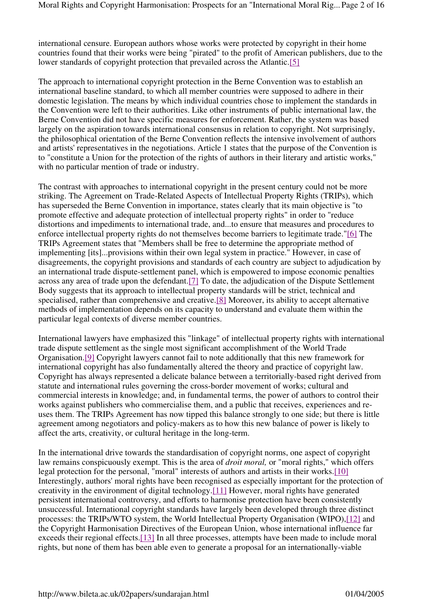international censure. European authors whose works were protected by copyright in their home countries found that their works were being "pirated" to the profit of American publishers, due to the lower standards of copyright protection that prevailed across the Atlantic.[5]

The approach to international copyright protection in the Berne Convention was to establish an international baseline standard, to which all member countries were supposed to adhere in their domestic legislation. The means by which individual countries chose to implement the standards in the Convention were left to their authorities. Like other instruments of public international law, the Berne Convention did not have specific measures for enforcement. Rather, the system was based largely on the aspiration towards international consensus in relation to copyright. Not surprisingly, the philosophical orientation of the Berne Convention reflects the intensive involvement of authors and artists' representatives in the negotiations. Article 1 states that the purpose of the Convention is to "constitute a Union for the protection of the rights of authors in their literary and artistic works," with no particular mention of trade or industry.

The contrast with approaches to international copyright in the present century could not be more striking. The Agreement on Trade-Related Aspects of Intellectual Property Rights (TRIPs), which has superseded the Berne Convention in importance, states clearly that its main objective is "to promote effective and adequate protection of intellectual property rights" in order to "reduce distortions and impediments to international trade, and...to ensure that measures and procedures to enforce intellectual property rights do not themselves become barriers to legitimate trade."[6] The TRIPs Agreement states that "Members shall be free to determine the appropriate method of implementing [its]...provisions within their own legal system in practice." However, in case of disagreements, the copyright provisions and standards of each country are subject to adjudication by an international trade dispute-settlement panel, which is empowered to impose economic penalties across any area of trade upon the defendant.[7] To date, the adjudication of the Dispute Settlement Body suggests that its approach to intellectual property standards will be strict, technical and specialised, rather than comprehensive and creative.[8] Moreover, its ability to accept alternative methods of implementation depends on its capacity to understand and evaluate them within the particular legal contexts of diverse member countries.

International lawyers have emphasized this "linkage" of intellectual property rights with international trade dispute settlement as the single most significant accomplishment of the World Trade Organisation.[9] Copyright lawyers cannot fail to note additionally that this new framework for international copyright has also fundamentally altered the theory and practice of copyright law. Copyright has always represented a delicate balance between a territorially-based right derived from statute and international rules governing the cross-border movement of works; cultural and commercial interests in knowledge; and, in fundamental terms, the power of authors to control their works against publishers who commercialise them, and a public that receives, experiences and reuses them. The TRIPs Agreement has now tipped this balance strongly to one side; but there is little agreement among negotiators and policy-makers as to how this new balance of power is likely to affect the arts, creativity, or cultural heritage in the long-term.

In the international drive towards the standardisation of copyright norms, one aspect of copyright law remains conspicuously exempt. This is the area of *droit moral,* or "moral rights," which offers legal protection for the personal, "moral" interests of authors and artists in their works.[10] Interestingly, authors' moral rights have been recognised as especially important for the protection of creativity in the environment of digital technology.[11] However, moral rights have generated persistent international controversy, and efforts to harmonise protection have been consistently unsuccessful. International copyright standards have largely been developed through three distinct processes: the TRIPs/WTO system, the World Intellectual Property Organisation (WIPO),[12] and the Copyright Harmonisation Directives of the European Union, whose international influence far exceeds their regional effects.[13] In all three processes, attempts have been made to include moral rights, but none of them has been able even to generate a proposal for an internationally-viable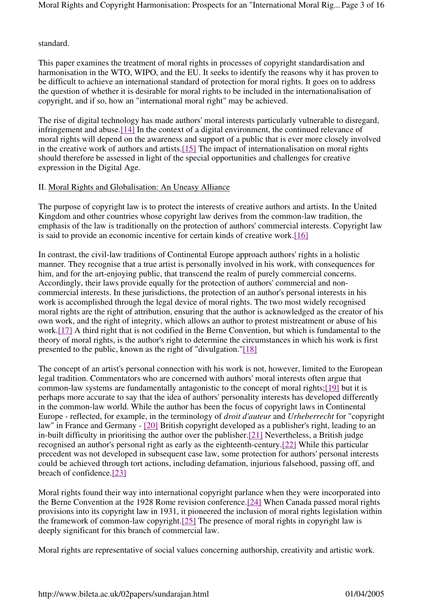standard.

This paper examines the treatment of moral rights in processes of copyright standardisation and harmonisation in the WTO, WIPO, and the EU. It seeks to identify the reasons why it has proven to be difficult to achieve an international standard of protection for moral rights. It goes on to address the question of whether it is desirable for moral rights to be included in the internationalisation of copyright, and if so, how an "international moral right" may be achieved.

The rise of digital technology has made authors' moral interests particularly vulnerable to disregard, infringement and abuse.[14] In the context of a digital environment, the continued relevance of moral rights will depend on the awareness and support of a public that is ever more closely involved in the creative work of authors and artists.[15] The impact of internationalisation on moral rights should therefore be assessed in light of the special opportunities and challenges for creative expression in the Digital Age.

## II. Moral Rights and Globalisation: An Uneasy Alliance

The purpose of copyright law is to protect the interests of creative authors and artists. In the United Kingdom and other countries whose copyright law derives from the common-law tradition, the emphasis of the law is traditionally on the protection of authors' commercial interests. Copyright law is said to provide an economic incentive for certain kinds of creative work.[16]

In contrast, the civil-law traditions of Continental Europe approach authors' rights in a holistic manner. They recognise that a true artist is personally involved in his work, with consequences for him, and for the art-enjoying public, that transcend the realm of purely commercial concerns. Accordingly, their laws provide equally for the protection of authors' commercial and noncommercial interests. In these jurisdictions, the protection of an author's personal interests in his work is accomplished through the legal device of moral rights. The two most widely recognised moral rights are the right of attribution, ensuring that the author is acknowledged as the creator of his own work, and the right of integrity, which allows an author to protest mistreatment or abuse of his work.[17] A third right that is not codified in the Berne Convention, but which is fundamental to the theory of moral rights, is the author's right to determine the circumstances in which his work is first presented to the public, known as the right of "divulgation."[18]

The concept of an artist's personal connection with his work is not, however, limited to the European legal tradition. Commentators who are concerned with authors' moral interests often argue that common-law systems are fundamentally antagonistic to the concept of moral rights;[19] but it is perhaps more accurate to say that the idea of authors' personality interests has developed differently in the common-law world. While the author has been the focus of copyright laws in Continental Europe - reflected, for example, in the terminology of *droit d'auteur* and *Urheberrecht* for "copyright law" in France and Germany - [20] British copyright developed as a publisher's right, leading to an in-built difficulty in prioritising the author over the publisher.[21] Nevertheless, a British judge recognised an author's personal right as early as the eighteenth-century.[22] While this particular precedent was not developed in subsequent case law, some protection for authors' personal interests could be achieved through tort actions, including defamation, injurious falsehood, passing off, and breach of confidence.[23]

Moral rights found their way into international copyright parlance when they were incorporated into the Berne Convention at the 1928 Rome revision conference.[24] When Canada passed moral rights provisions into its copyright law in 1931, it pioneered the inclusion of moral rights legislation within the framework of common-law copyright.[25] The presence of moral rights in copyright law is deeply significant for this branch of commercial law.

Moral rights are representative of social values concerning authorship, creativity and artistic work.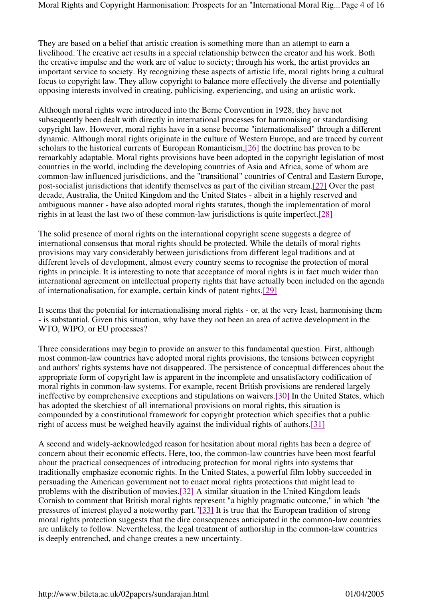They are based on a belief that artistic creation is something more than an attempt to earn a livelihood. The creative act results in a special relationship between the creator and his work. Both the creative impulse and the work are of value to society; through his work, the artist provides an important service to society. By recognizing these aspects of artistic life, moral rights bring a cultural focus to copyright law. They allow copyright to balance more effectively the diverse and potentially opposing interests involved in creating, publicising, experiencing, and using an artistic work.

Although moral rights were introduced into the Berne Convention in 1928, they have not subsequently been dealt with directly in international processes for harmonising or standardising copyright law. However, moral rights have in a sense become "internationalised" through a different dynamic. Although moral rights originate in the culture of Western Europe, and are traced by current scholars to the historical currents of European Romanticism,[26] the doctrine has proven to be remarkably adaptable. Moral rights provisions have been adopted in the copyright legislation of most countries in the world, including the developing countries of Asia and Africa, some of whom are common-law influenced jurisdictions, and the "transitional" countries of Central and Eastern Europe, post-socialist jurisdictions that identify themselves as part of the civilian stream.[27] Over the past decade, Australia, the United Kingdom and the United States - albeit in a highly reserved and ambiguous manner - have also adopted moral rights statutes, though the implementation of moral rights in at least the last two of these common-law jurisdictions is quite imperfect.[28]

The solid presence of moral rights on the international copyright scene suggests a degree of international consensus that moral rights should be protected. While the details of moral rights provisions may vary considerably between jurisdictions from different legal traditions and at different levels of development, almost every country seems to recognise the protection of moral rights in principle. It is interesting to note that acceptance of moral rights is in fact much wider than international agreement on intellectual property rights that have actually been included on the agenda of internationalisation, for example, certain kinds of patent rights.[29]

It seems that the potential for internationalising moral rights - or, at the very least, harmonising them - is substantial. Given this situation, why have they not been an area of active development in the WTO, WIPO, or EU processes?

Three considerations may begin to provide an answer to this fundamental question. First, although most common-law countries have adopted moral rights provisions, the tensions between copyright and authors' rights systems have not disappeared. The persistence of conceptual differences about the appropriate form of copyright law is apparent in the incomplete and unsatisfactory codification of moral rights in common-law systems. For example, recent British provisions are rendered largely ineffective by comprehensive exceptions and stipulations on waivers.[30] In the United States, which has adopted the sketchiest of all international provisions on moral rights, this situation is compounded by a constitutional framework for copyright protection which specifies that a public right of access must be weighed heavily against the individual rights of authors.[31]

A second and widely-acknowledged reason for hesitation about moral rights has been a degree of concern about their economic effects. Here, too, the common-law countries have been most fearful about the practical consequences of introducing protection for moral rights into systems that traditionally emphasize economic rights. In the United States, a powerful film lobby succeeded in persuading the American government not to enact moral rights protections that might lead to problems with the distribution of movies.[32] A similar situation in the United Kingdom leads Cornish to comment that British moral rights represent "a highly pragmatic outcome," in which "the pressures of interest played a noteworthy part."[33] It is true that the European tradition of strong moral rights protection suggests that the dire consequences anticipated in the common-law countries are unlikely to follow. Nevertheless, the legal treatment of authorship in the common-law countries is deeply entrenched, and change creates a new uncertainty.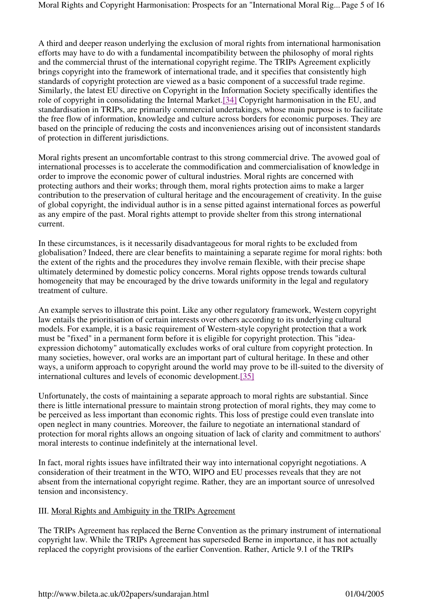A third and deeper reason underlying the exclusion of moral rights from international harmonisation efforts may have to do with a fundamental incompatibility between the philosophy of moral rights and the commercial thrust of the international copyright regime. The TRIPs Agreement explicitly brings copyright into the framework of international trade, and it specifies that consistently high standards of copyright protection are viewed as a basic component of a successful trade regime. Similarly, the latest EU directive on Copyright in the Information Society specifically identifies the role of copyright in consolidating the Internal Market.[34] Copyright harmonisation in the EU, and standardisation in TRIPs, are primarily commercial undertakings, whose main purpose is to facilitate the free flow of information, knowledge and culture across borders for economic purposes. They are based on the principle of reducing the costs and inconveniences arising out of inconsistent standards of protection in different jurisdictions.

Moral rights present an uncomfortable contrast to this strong commercial drive. The avowed goal of international processes is to accelerate the commodification and commercialisation of knowledge in order to improve the economic power of cultural industries. Moral rights are concerned with protecting authors and their works; through them, moral rights protection aims to make a larger contribution to the preservation of cultural heritage and the encouragement of creativity. In the guise of global copyright, the individual author is in a sense pitted against international forces as powerful as any empire of the past. Moral rights attempt to provide shelter from this strong international current.

In these circumstances, is it necessarily disadvantageous for moral rights to be excluded from globalisation? Indeed, there are clear benefits to maintaining a separate regime for moral rights: both the extent of the rights and the procedures they involve remain flexible, with their precise shape ultimately determined by domestic policy concerns. Moral rights oppose trends towards cultural homogeneity that may be encouraged by the drive towards uniformity in the legal and regulatory treatment of culture.

An example serves to illustrate this point. Like any other regulatory framework, Western copyright law entails the prioritisation of certain interests over others according to its underlying cultural models. For example, it is a basic requirement of Western-style copyright protection that a work must be "fixed" in a permanent form before it is eligible for copyright protection. This "ideaexpression dichotomy" automatically excludes works of oral culture from copyright protection. In many societies, however, oral works are an important part of cultural heritage. In these and other ways, a uniform approach to copyright around the world may prove to be ill-suited to the diversity of international cultures and levels of economic development.[35]

Unfortunately, the costs of maintaining a separate approach to moral rights are substantial. Since there is little international pressure to maintain strong protection of moral rights, they may come to be perceived as less important than economic rights. This loss of prestige could even translate into open neglect in many countries. Moreover, the failure to negotiate an international standard of protection for moral rights allows an ongoing situation of lack of clarity and commitment to authors' moral interests to continue indefinitely at the international level.

In fact, moral rights issues have infiltrated their way into international copyright negotiations. A consideration of their treatment in the WTO, WIPO and EU processes reveals that they are not absent from the international copyright regime. Rather, they are an important source of unresolved tension and inconsistency.

## III. Moral Rights and Ambiguity in the TRIPs Agreement

The TRIPs Agreement has replaced the Berne Convention as the primary instrument of international copyright law. While the TRIPs Agreement has superseded Berne in importance, it has not actually replaced the copyright provisions of the earlier Convention. Rather, Article 9.1 of the TRIPs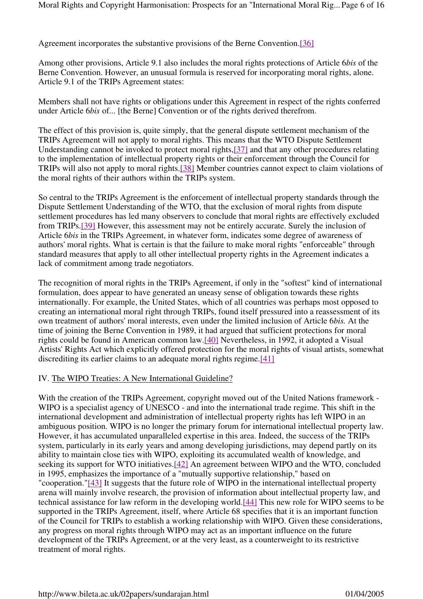Agreement incorporates the substantive provisions of the Berne Convention.[36]

Among other provisions, Article 9.1 also includes the moral rights protections of Article 6*bis* of the Berne Convention. However, an unusual formula is reserved for incorporating moral rights, alone. Article 9.1 of the TRIPs Agreement states:

Members shall not have rights or obligations under this Agreement in respect of the rights conferred under Article 6*bis* of... [the Berne] Convention or of the rights derived therefrom.

The effect of this provision is, quite simply, that the general dispute settlement mechanism of the TRIPs Agreement will not apply to moral rights. This means that the WTO Dispute Settlement Understanding cannot be invoked to protect moral rights,[37] and that any other procedures relating to the implementation of intellectual property rights or their enforcement through the Council for TRIPs will also not apply to moral rights.[38] Member countries cannot expect to claim violations of the moral rights of their authors within the TRIPs system.

So central to the TRIPs Agreement is the enforcement of intellectual property standards through the Dispute Settlement Understanding of the WTO, that the exclusion of moral rights from dispute settlement procedures has led many observers to conclude that moral rights are effectively excluded from TRIPs.[39] However, this assessment may not be entirely accurate. Surely the inclusion of Article 6*bis* in the TRIPs Agreement, in whatever form, indicates some degree of awareness of authors' moral rights. What is certain is that the failure to make moral rights "enforceable" through standard measures that apply to all other intellectual property rights in the Agreement indicates a lack of commitment among trade negotiators.

The recognition of moral rights in the TRIPs Agreement, if only in the "softest" kind of international formulation, does appear to have generated an uneasy sense of obligation towards these rights internationally. For example, the United States, which of all countries was perhaps most opposed to creating an international moral right through TRIPs, found itself pressured into a reassessment of its own treatment of authors' moral interests, even under the limited inclusion of Article 6*bis.* At the time of joining the Berne Convention in 1989, it had argued that sufficient protections for moral rights could be found in American common law.[40] Nevertheless, in 1992, it adopted a Visual Artists' Rights Act which explicitly offered protection for the moral rights of visual artists, somewhat discrediting its earlier claims to an adequate moral rights regime.[41]

#### IV. The WIPO Treaties: A New International Guideline?

With the creation of the TRIPs Agreement, copyright moved out of the United Nations framework - WIPO is a specialist agency of UNESCO - and into the international trade regime. This shift in the international development and administration of intellectual property rights has left WIPO in an ambiguous position. WIPO is no longer the primary forum for international intellectual property law. However, it has accumulated unparalleled expertise in this area. Indeed, the success of the TRIPs system, particularly in its early years and among developing jurisdictions, may depend partly on its ability to maintain close ties with WIPO, exploiting its accumulated wealth of knowledge, and seeking its support for WTO initiatives.[42] An agreement between WIPO and the WTO, concluded in 1995, emphasizes the importance of a "mutually supportive relationship," based on "cooperation."[43] It suggests that the future role of WIPO in the international intellectual property arena will mainly involve research, the provision of information about intellectual property law, and technical assistance for law reform in the developing world.[44] This new role for WIPO seems to be supported in the TRIPs Agreement, itself, where Article 68 specifies that it is an important function of the Council for TRIPs to establish a working relationship with WIPO. Given these considerations, any progress on moral rights through WIPO may act as an important influence on the future development of the TRIPs Agreement, or at the very least, as a counterweight to its restrictive treatment of moral rights.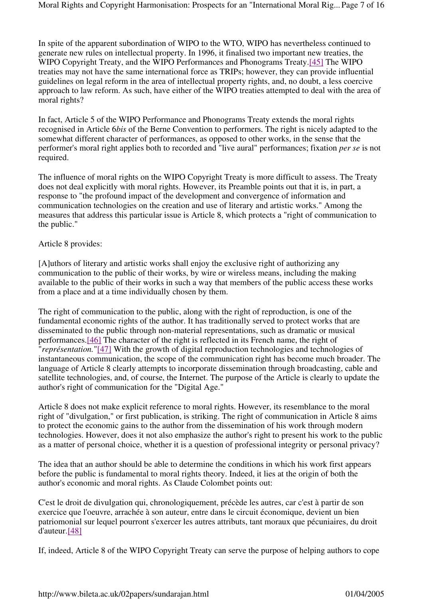In spite of the apparent subordination of WIPO to the WTO, WIPO has nevertheless continued to generate new rules on intellectual property. In 1996, it finalised two important new treaties, the WIPO Copyright Treaty, and the WIPO Performances and Phonograms Treaty.[45] The WIPO treaties may not have the same international force as TRIPs; however, they can provide influential guidelines on legal reform in the area of intellectual property rights, and, no doubt, a less coercive approach to law reform. As such, have either of the WIPO treaties attempted to deal with the area of moral rights?

In fact, Article 5 of the WIPO Performance and Phonograms Treaty extends the moral rights recognised in Article 6*bis* of the Berne Convention to performers. The right is nicely adapted to the somewhat different character of performances, as opposed to other works, in the sense that the performer's moral right applies both to recorded and "live aural" performances; fixation *per se* is not required.

The influence of moral rights on the WIPO Copyright Treaty is more difficult to assess. The Treaty does not deal explicitly with moral rights. However, its Preamble points out that it is, in part, a response to "the profound impact of the development and convergence of information and communication technologies on the creation and use of literary and artistic works." Among the measures that address this particular issue is Article 8, which protects a "right of communication to the public."

### Article 8 provides:

[A]uthors of literary and artistic works shall enjoy the exclusive right of authorizing any communication to the public of their works, by wire or wireless means, including the making available to the public of their works in such a way that members of the public access these works from a place and at a time individually chosen by them.

The right of communication to the public, along with the right of reproduction, is one of the fundamental economic rights of the author. It has traditionally served to protect works that are disseminated to the public through non-material representations, such as dramatic or musical performances.[46] The character of the right is reflected in its French name, the right of "*représentation.*"[47] With the growth of digital reproduction technologies and technologies of instantaneous communication, the scope of the communication right has become much broader. The language of Article 8 clearly attempts to incorporate dissemination through broadcasting, cable and satellite technologies, and, of course, the Internet. The purpose of the Article is clearly to update the author's right of communication for the "Digital Age."

Article 8 does not make explicit reference to moral rights. However, its resemblance to the moral right of "divulgation," or first publication, is striking. The right of communication in Article 8 aims to protect the economic gains to the author from the dissemination of his work through modern technologies. However, does it not also emphasize the author's right to present his work to the public as a matter of personal choice, whether it is a question of professional integrity or personal privacy?

The idea that an author should be able to determine the conditions in which his work first appears before the public is fundamental to moral rights theory. Indeed, it lies at the origin of both the author's economic and moral rights. As Claude Colombet points out:

C'est le droit de divulgation qui, chronologiquement, précède les autres, car c'est à partir de son exercice que l'oeuvre, arrachée à son auteur, entre dans le circuit économique, devient un bien patriomonial sur lequel pourront s'exercer les autres attributs, tant moraux que pécuniaires, du droit d'auteur.[48]

If, indeed, Article 8 of the WIPO Copyright Treaty can serve the purpose of helping authors to cope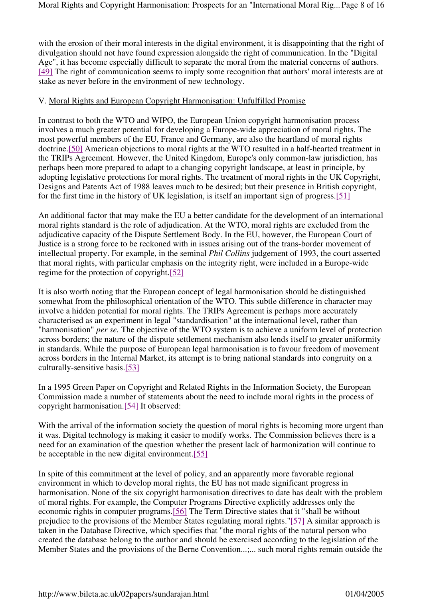with the erosion of their moral interests in the digital environment, it is disappointing that the right of divulgation should not have found expression alongside the right of communication. In the "Digital Age", it has become especially difficult to separate the moral from the material concerns of authors. [49] The right of communication seems to imply some recognition that authors' moral interests are at stake as never before in the environment of new technology.

### V. Moral Rights and European Copyright Harmonisation: Unfulfilled Promise

In contrast to both the WTO and WIPO, the European Union copyright harmonisation process involves a much greater potential for developing a Europe-wide appreciation of moral rights. The most powerful members of the EU, France and Germany, are also the heartland of moral rights doctrine.[50] American objections to moral rights at the WTO resulted in a half-hearted treatment in the TRIPs Agreement. However, the United Kingdom, Europe's only common-law jurisdiction, has perhaps been more prepared to adapt to a changing copyright landscape, at least in principle, by adopting legislative protections for moral rights. The treatment of moral rights in the UK Copyright, Designs and Patents Act of 1988 leaves much to be desired; but their presence in British copyright, for the first time in the history of UK legislation, is itself an important sign of progress.[51]

An additional factor that may make the EU a better candidate for the development of an international moral rights standard is the role of adjudication. At the WTO, moral rights are excluded from the adjudicative capacity of the Dispute Settlement Body. In the EU, however, the European Court of Justice is a strong force to be reckoned with in issues arising out of the trans-border movement of intellectual property. For example, in the seminal *Phil Collins* judgement of 1993, the court asserted that moral rights, with particular emphasis on the integrity right, were included in a Europe-wide regime for the protection of copyright.[52]

It is also worth noting that the European concept of legal harmonisation should be distinguished somewhat from the philosophical orientation of the WTO. This subtle difference in character may involve a hidden potential for moral rights. The TRIPs Agreement is perhaps more accurately characterised as an experiment in legal "standardisation" at the international level, rather than "harmonisation" *per se.* The objective of the WTO system is to achieve a uniform level of protection across borders; the nature of the dispute settlement mechanism also lends itself to greater uniformity in standards. While the purpose of European legal harmonisation is to favour freedom of movement across borders in the Internal Market, its attempt is to bring national standards into congruity on a culturally-sensitive basis.[53]

In a 1995 Green Paper on Copyright and Related Rights in the Information Society, the European Commission made a number of statements about the need to include moral rights in the process of copyright harmonisation.[54] It observed:

With the arrival of the information society the question of moral rights is becoming more urgent than it was. Digital technology is making it easier to modify works. The Commission believes there is a need for an examination of the question whether the present lack of harmonization will continue to be acceptable in the new digital environment.[55]

In spite of this commitment at the level of policy, and an apparently more favorable regional environment in which to develop moral rights, the EU has not made significant progress in harmonisation. None of the six copyright harmonisation directives to date has dealt with the problem of moral rights. For example, the Computer Programs Directive explicitly addresses only the economic rights in computer programs.[56] The Term Directive states that it "shall be without prejudice to the provisions of the Member States regulating moral rights."[57] A similar approach is taken in the Database Directive, which specifies that "the moral rights of the natural person who created the database belong to the author and should be exercised according to the legislation of the Member States and the provisions of the Berne Convention...;... such moral rights remain outside the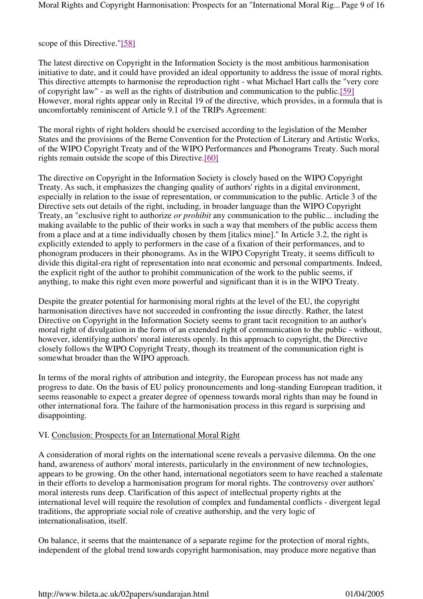#### scope of this Directive."[58]

The latest directive on Copyright in the Information Society is the most ambitious harmonisation initiative to date, and it could have provided an ideal opportunity to address the issue of moral rights. This directive attempts to harmonise the reproduction right - what Michael Hart calls the "very core of copyright law" - as well as the rights of distribution and communication to the public.[59] However, moral rights appear only in Recital 19 of the directive, which provides, in a formula that is uncomfortably reminiscent of Article 9.1 of the TRIPs Agreement:

The moral rights of right holders should be exercised according to the legislation of the Member States and the provisions of the Berne Convention for the Protection of Literary and Artistic Works, of the WIPO Copyright Treaty and of the WIPO Performances and Phonograms Treaty. Such moral rights remain outside the scope of this Directive.[60]

The directive on Copyright in the Information Society is closely based on the WIPO Copyright Treaty. As such, it emphasizes the changing quality of authors' rights in a digital environment, especially in relation to the issue of representation, or communication to the public. Article 3 of the Directive sets out details of the right, including, in broader language than the WIPO Copyright Treaty, an "exclusive right to authorize *or prohibit* any communication to the public... including the making available to the public of their works in such a way that members of the public access them from a place and at a time individually chosen by them [italics mine]." In Article 3.2, the right is explicitly extended to apply to performers in the case of a fixation of their performances, and to phonogram producers in their phonograms. As in the WIPO Copyright Treaty, it seems difficult to divide this digital-era right of representation into neat economic and personal compartments. Indeed, the explicit right of the author to prohibit communication of the work to the public seems, if anything, to make this right even more powerful and significant than it is in the WIPO Treaty.

Despite the greater potential for harmonising moral rights at the level of the EU, the copyright harmonisation directives have not succeeded in confronting the issue directly. Rather, the latest Directive on Copyright in the Information Society seems to grant tacit recognition to an author's moral right of divulgation in the form of an extended right of communication to the public - without, however, identifying authors' moral interests openly. In this approach to copyright, the Directive closely follows the WIPO Copyright Treaty, though its treatment of the communication right is somewhat broader than the WIPO approach.

In terms of the moral rights of attribution and integrity, the European process has not made any progress to date. On the basis of EU policy pronouncements and long-standing European tradition, it seems reasonable to expect a greater degree of openness towards moral rights than may be found in other international fora. The failure of the harmonisation process in this regard is surprising and disappointing.

#### VI. Conclusion: Prospects for an International Moral Right

A consideration of moral rights on the international scene reveals a pervasive dilemma. On the one hand, awareness of authors' moral interests, particularly in the environment of new technologies, appears to be growing. On the other hand, international negotiators seem to have reached a stalemate in their efforts to develop a harmonisation program for moral rights. The controversy over authors' moral interests runs deep. Clarification of this aspect of intellectual property rights at the international level will require the resolution of complex and fundamental conflicts - divergent legal traditions, the appropriate social role of creative authorship, and the very logic of internationalisation, itself.

On balance, it seems that the maintenance of a separate regime for the protection of moral rights, independent of the global trend towards copyright harmonisation, may produce more negative than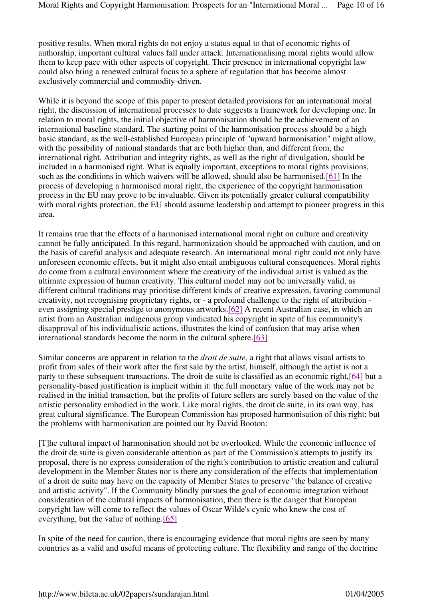positive results. When moral rights do not enjoy a status equal to that of economic rights of authorship, important cultural values fall under attack. Internationalising moral rights would allow them to keep pace with other aspects of copyright. Their presence in international copyright law could also bring a renewed cultural focus to a sphere of regulation that has become almost exclusively commercial and commodity-driven.

While it is beyond the scope of this paper to present detailed provisions for an international moral right, the discussion of international processes to date suggests a framework for developing one. In relation to moral rights, the initial objective of harmonisation should be the achievement of an international baseline standard. The starting point of the harmonisation process should be a high basic standard, as the well-established European principle of "upward harmonisation" might allow, with the possibility of national standards that are both higher than, and different from, the international right. Attribution and integrity rights, as well as the right of divulgation, should be included in a harmonised right. What is equally important, exceptions to moral rights provisions, such as the conditions in which waivers will be allowed, should also be harmonised.[61] In the process of developing a harmonised moral right, the experience of the copyright harmonisation process in the EU may prove to be invaluable. Given its potentially greater cultural compatibility with moral rights protection, the EU should assume leadership and attempt to pioneer progress in this area.

It remains true that the effects of a harmonised international moral right on culture and creativity cannot be fully anticipated. In this regard, harmonization should be approached with caution, and on the basis of careful analysis and adequate research. An international moral right could not only have unforeseen economic effects, but it might also entail ambiguous cultural consequences. Moral rights do come from a cultural environment where the creativity of the individual artist is valued as the ultimate expression of human creativity. This cultural model may not be universally valid, as different cultural traditions may prioritise different kinds of creative expression, favoring communal creativity, not recognising proprietary rights, or - a profound challenge to the right of attribution even assigning special prestige to anonymous artworks.[62] A recent Australian case, in which an artist from an Australian indigenous group vindicated his copyright in spite of his community's disapproval of his individualistic actions, illustrates the kind of confusion that may arise when international standards become the norm in the cultural sphere.[63]

Similar concerns are apparent in relation to the *droit de suite,* a right that allows visual artists to profit from sales of their work after the first sale by the artist, himself, although the artist is not a party to these subsequent transactions. The droit de suite is classified as an economic right,[64] but a personality-based justification is implicit within it: the full monetary value of the work may not be realised in the initial transaction, but the profits of future sellers are surely based on the value of the artistic personality embodied in the work. Like moral rights, the droit de suite, in its own way, has great cultural significance. The European Commission has proposed harmonisation of this right; but the problems with harmonisation are pointed out by David Booton:

[T]he cultural impact of harmonisation should not be overlooked. While the economic influence of the droit de suite is given considerable attention as part of the Commission's attempts to justify its proposal, there is no express consideration of the right's contribution to artistic creation and cultural development in the Member States nor is there any consideration of the effects that implementation of a droit de suite may have on the capacity of Member States to preserve "the balance of creative and artistic activity". If the Community blindly pursues the goal of economic integration without consideration of the cultural impacts of harmonisation, then there is the danger that European copyright law will come to reflect the values of Oscar Wilde's cynic who knew the cost of everything, but the value of nothing.[65]

In spite of the need for caution, there is encouraging evidence that moral rights are seen by many countries as a valid and useful means of protecting culture. The flexibility and range of the doctrine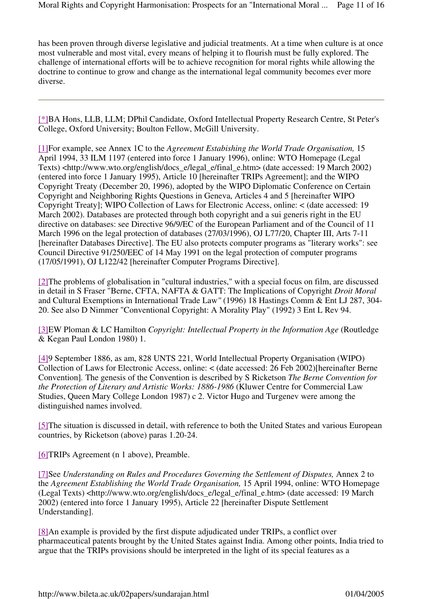has been proven through diverse legislative and judicial treatments. At a time when culture is at once most vulnerable and most vital, every means of helping it to flourish must be fully explored. The challenge of international efforts will be to achieve recognition for moral rights while allowing the doctrine to continue to grow and change as the international legal community becomes ever more diverse.

[\*]BA Hons, LLB, LLM; DPhil Candidate, Oxford Intellectual Property Research Centre, St Peter's College, Oxford University; Boulton Fellow, McGill University.

[1]For example, see Annex 1C to the *Agreement Estabishing the World Trade Organisation,* 15 April 1994, 33 ILM 1197 (entered into force 1 January 1996), online: WTO Homepage (Legal Texts) <http://www.wto.org/english/docs\_e/legal\_e/final\_e.htm> (date accessed: 19 March 2002) (entered into force 1 January 1995), Article 10 [hereinafter TRIPs Agreement]; and the WIPO Copyright Treaty (December 20, 1996), adopted by the WIPO Diplomatic Conference on Certain Copyright and Neighboring Rights Questions in Geneva, Articles 4 and 5 [hereinafter WIPO Copyright Treaty]; WIPO Collection of Laws for Electronic Access, online: < (date accessed: 19 March 2002). Databases are protected through both copyright and a sui generis right in the EU directive on databases: see Directive 96/9/EC of the European Parliament and of the Council of 11 March 1996 on the legal protection of databases (27/03/1996), OJ L77/20, Chapter III, Arts 7-11 [hereinafter Databases Directive]. The EU also protects computer programs as "literary works": see Council Directive 91/250/EEC of 14 May 1991 on the legal protection of computer programs (17/05/1991), OJ L122/42 [hereinafter Computer Programs Directive].

[2]The problems of globalisation in "cultural industries," with a special focus on film, are discussed in detail in S Fraser "Berne, CFTA, NAFTA & GATT: The Implications of Copyright *Droit Moral*  and Cultural Exemptions in International Trade Law*"* (1996) 18 Hastings Comm & Ent LJ 287, 304- 20. See also D Nimmer "Conventional Copyright: A Morality Play" (1992) 3 Ent L Rev 94.

[3]EW Ploman & LC Hamilton *Copyright: Intellectual Property in the Information Age* (Routledge & Kegan Paul London 1980) 1.

[4]9 September 1886, as am, 828 UNTS 221, World Intellectual Property Organisation (WIPO) Collection of Laws for Electronic Access, online: < (date accessed: 26 Feb 2002)[hereinafter Berne Convention]*.* The genesis of the Convention is described by S Ricketson *The Berne Convention for the Protection of Literary and Artistic Works: 1886-1986* (Kluwer Centre for Commercial Law Studies, Queen Mary College London 1987) c 2. Victor Hugo and Turgenev were among the distinguished names involved.

[5]The situation is discussed in detail, with reference to both the United States and various European countries, by Ricketson (above) paras 1.20-24.

[6]TRIPs Agreement (n 1 above), Preamble.

[7]See *Understanding on Rules and Procedures Governing the Settlement of Disputes, Annex 2 to* the *Agreement Establishing the World Trade Organisation,* 15 April 1994, online: WTO Homepage (Legal Texts) <http://www.wto.org/english/docs\_e/legal\_e/final\_e.htm> (date accessed: 19 March 2002) (entered into force 1 January 1995), Article 22 [hereinafter Dispute Settlement Understanding].

[8]An example is provided by the first dispute adjudicated under TRIPs, a conflict over pharmaceutical patents brought by the United States against India. Among other points, India tried to argue that the TRIPs provisions should be interpreted in the light of its special features as a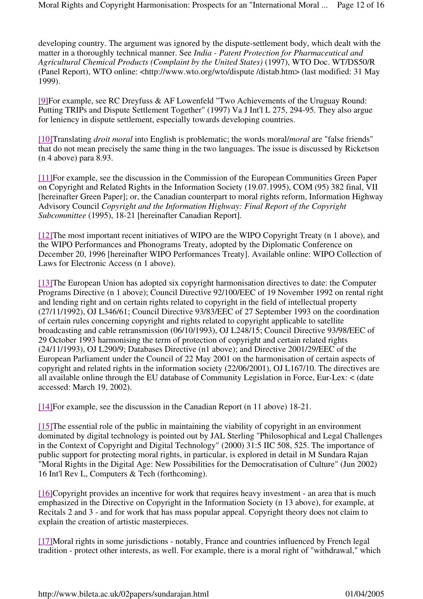developing country. The argument was ignored by the dispute-settlement body, which dealt with the matter in a thoroughly technical manner. See *India - Patent Protection for Pharmaceutical and Agricultural Chemical Products (Complaint by the United States)* (1997), WTO Doc. WT/DS50/R (Panel Report), WTO online: <http://www.wto.org/wto/dispute /distab.htm> (last modified: 31 May 1999).

[9]For example, see RC Dreyfuss & AF Lowenfeld "Two Achievements of the Uruguay Round: Putting TRIPs and Dispute Settlement Together" (1997) Va J Int'l L 275, 294-95. They also argue for leniency in dispute settlement, especially towards developing countries.

[10]Translating *droit moral* into English is problematic; the words moral/*moral* are "false friends" that do not mean precisely the same thing in the two languages. The issue is discussed by Ricketson (n 4 above) para 8.93.

[11]For example, see the discussion in the Commission of the European Communities Green Paper on Copyright and Related Rights in the Information Society (19.07.1995), COM (95) 382 final, VII [hereinafter Green Paper]; or, the Canadian counterpart to moral rights reform, Information Highway Advisory Council *Copyright and the Information Highway: Final Report of the Copyright Subcommittee* (1995), 18-21 [hereinafter Canadian Report].

[12]The most important recent initiatives of WIPO are the WIPO Copyright Treaty (n 1 above), and the WIPO Performances and Phonograms Treaty, adopted by the Diplomatic Conference on December 20, 1996 [hereinafter WIPO Performances Treaty]. Available online: WIPO Collection of Laws for Electronic Access (n 1 above).

[13]The European Union has adopted six copyright harmonisation directives to date: the Computer Programs Directive (n 1 above); Council Directive 92/100/EEC of 19 November 1992 on rental right and lending right and on certain rights related to copyright in the field of intellectual property (27/11/1992), OJ L346/61; Council Directive 93/83/EEC of 27 September 1993 on the coordination of certain rules concerning copyright and rights related to copyright applicable to satellite broadcasting and cable retransmission (06/10/1993), OJ L248/15; Council Directive 93/98/EEC of 29 October 1993 harmonising the term of protection of copyright and certain related rights (24/11/1993), OJ L290/9; Databases Directive (n1 above); and Directive 2001/29/EEC of the European Parliament under the Council of 22 May 2001 on the harmonisation of certain aspects of copyright and related rights in the information society (22/06/2001), OJ L167/10. The directives are all available online through the EU database of Community Legislation in Force, Eur-Lex: < (date accessed: March 19, 2002).

[14]For example, see the discussion in the Canadian Report (n 11 above) 18-21.

[15]The essential role of the public in maintaining the viability of copyright in an environment dominated by digital technology is pointed out by JAL Sterling "Philosophical and Legal Challenges in the Context of Copyright and Digital Technology" (2000) 31:5 IIC 508, 525. The importance of public support for protecting moral rights, in particular, is explored in detail in M Sundara Rajan "Moral Rights in the Digital Age: New Possibilities for the Democratisation of Culture" (Jun 2002) 16 Int'l Rev L, Computers & Tech (forthcoming).

[16]Copyright provides an incentive for work that requires heavy investment - an area that is much emphasized in the Directive on Copyright in the Information Society (n 13 above), for example, at Recitals 2 and 3 - and for work that has mass popular appeal. Copyright theory does not claim to explain the creation of artistic masterpieces.

[17]Moral rights in some jurisdictions - notably, France and countries influenced by French legal tradition - protect other interests, as well. For example, there is a moral right of "withdrawal," which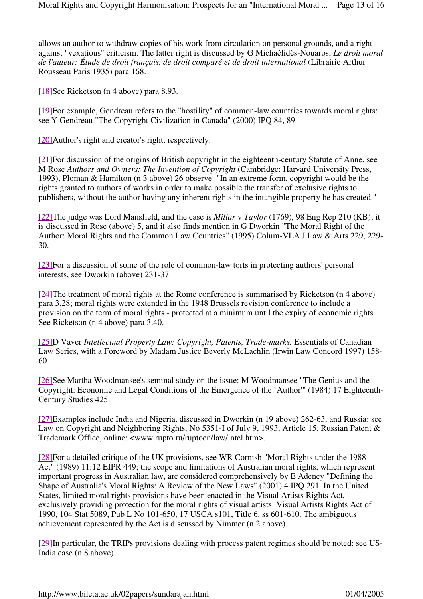allows an author to withdraw copies of his work from circulation on personal grounds, and a right against "vexatious" criticism. The latter right is discussed by G Michaélidès-Nouaros, *Le droit moral de l'auteur: Étude de droit français, de droit comparé et de droit international* (Librairie Arthur Rousseau Paris 1935) para 168.

[18]See Ricketson (n 4 above) para 8.93.

[19]For example, Gendreau refers to the "hostility" of common-law countries towards moral rights: see Y Gendreau "The Copyright Civilization in Canada" (2000) IPQ 84, 89.

[20]Author's right and creator's right, respectively.

[21]For discussion of the origins of British copyright in the eighteenth-century Statute of Anne, see M Rose *Authors and Owners: The Invention of Copyright* (Cambridge: Harvard University Press, 1993)**.** Ploman & Hamilton (n 3 above) 26 observe: "In an extreme form, copyright would be the rights granted to authors of works in order to make possible the transfer of exclusive rights to publishers, without the author having any inherent rights in the intangible property he has created."

[22]The judge was Lord Mansfield, and the case is *Millar* v *Taylor* (1769), 98 Eng Rep 210 (KB); it is discussed in Rose (above) 5, and it also finds mention in G Dworkin "The Moral Right of the Author: Moral Rights and the Common Law Countries" (1995) Colum-VLA J Law & Arts 229, 229- 30.

[23]For a discussion of some of the role of common-law torts in protecting authors' personal interests, see Dworkin (above) 231-37.

[24]The treatment of moral rights at the Rome conference is summarised by Ricketson (n 4 above) para 3.28; moral rights were extended in the 1948 Brussels revision conference to include a provision on the term of moral rights - protected at a minimum until the expiry of economic rights. See Ricketson (n 4 above) para 3.40.

[25]D Vaver *Intellectual Property Law: Copyright, Patents, Trade-marks,* Essentials of Canadian Law Series, with a Foreword by Madam Justice Beverly McLachlin (Irwin Law Concord 1997) 158- 60.

[26]See Martha Woodmansee's seminal study on the issue: M Woodmansee "The Genius and the Copyright: Economic and Legal Conditions of the Emergence of the `Author'" (1984) 17 Eighteenth-Century Studies 425.

[27]Examples include India and Nigeria, discussed in Dworkin (n 19 above) 262-63, and Russia: see Law on Copyright and Neighboring Rights, No 5351-I of July 9, 1993, Article 15, Russian Patent & Trademark Office, online: <www.rupto.ru/ruptoen/law/intel.htm>.

[28]For a detailed critique of the UK provisions, see WR Cornish "Moral Rights under the 1988 Act" (1989) 11:12 EIPR 449; the scope and limitations of Australian moral rights, which represent important progress in Australian law, are considered comprehensively by E Adeney "Defining the Shape of Australia's Moral Rights: A Review of the New Laws" (2001) 4 IPQ 291. In the United States, limited moral rights provisions have been enacted in the Visual Artists Rights Act, exclusively providing protection for the moral rights of visual artists: Visual Artists Rights Act of 1990, 104 Stat 5089, Pub L No 101-650, 17 USCA s101, Title 6, ss 601-610. The ambiguous achievement represented by the Act is discussed by Nimmer (n 2 above).

[29]In particular, the TRIPs provisions dealing with process patent regimes should be noted: see US-India case (n 8 above).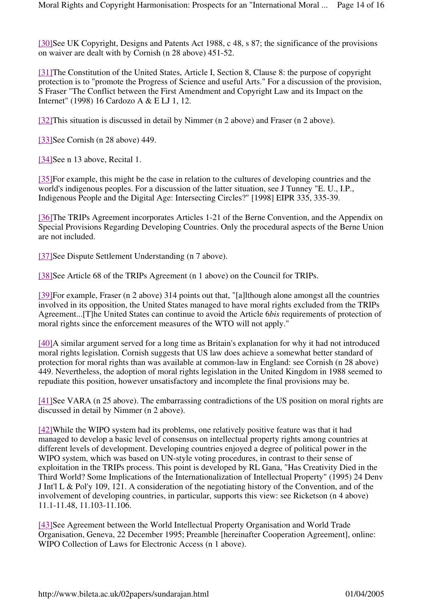[30]See UK Copyright, Designs and Patents Act 1988, c 48, s 87; the significance of the provisions on waiver are dealt with by Cornish (n 28 above) 451-52.

[31]The Constitution of the United States, Article I, Section 8, Clause 8: the purpose of copyright protection is to "promote the Progress of Science and useful Arts." For a discussion of the provision, S Fraser "The Conflict between the First Amendment and Copyright Law and its Impact on the Internet" (1998) 16 Cardozo A & E LJ 1, 12.

[32]This situation is discussed in detail by Nimmer (n 2 above) and Fraser (n 2 above).

[33]See Cornish (n 28 above) 449.

[34]See n 13 above, Recital 1.

[35]For example, this might be the case in relation to the cultures of developing countries and the world's indigenous peoples. For a discussion of the latter situation, see J Tunney "E. U., I.P., Indigenous People and the Digital Age: Intersecting Circles?" [1998] EIPR 335, 335-39.

[36]The TRIPs Agreement incorporates Articles 1-21 of the Berne Convention, and the Appendix on Special Provisions Regarding Developing Countries. Only the procedural aspects of the Berne Union are not included.

[37]See Dispute Settlement Understanding (n 7 above).

[38]See Article 68 of the TRIPs Agreement (n 1 above) on the Council for TRIPs.

[39]For example, Fraser (n 2 above) 314 points out that, "[a]lthough alone amongst all the countries involved in its opposition, the United States managed to have moral rights excluded from the TRIPs Agreement...[T]he United States can continue to avoid the Article 6*bis* requirements of protection of moral rights since the enforcement measures of the WTO will not apply."

[40]A similar argument served for a long time as Britain's explanation for why it had not introduced moral rights legislation. Cornish suggests that US law does achieve a somewhat better standard of protection for moral rights than was available at common-law in England: see Cornish (n 28 above) 449. Nevertheless, the adoption of moral rights legislation in the United Kingdom in 1988 seemed to repudiate this position, however unsatisfactory and incomplete the final provisions may be.

[41]See VARA (n 25 above). The embarrassing contradictions of the US position on moral rights are discussed in detail by Nimmer (n 2 above).

[42]While the WIPO system had its problems, one relatively positive feature was that it had managed to develop a basic level of consensus on intellectual property rights among countries at different levels of development. Developing countries enjoyed a degree of political power in the WIPO system, which was based on UN-style voting procedures, in contrast to their sense of exploitation in the TRIPs process. This point is developed by RL Gana, "Has Creativity Died in the Third World? Some Implications of the Internationalization of Intellectual Property" (1995) 24 Denv J Int'l L & Pol'y 109, 121. A consideration of the negotiating history of the Convention, and of the involvement of developing countries, in particular, supports this view: see Ricketson (n 4 above) 11.1-11.48, 11.103-11.106.

[43]See Agreement between the World Intellectual Property Organisation and World Trade Organisation, Geneva, 22 December 1995; Preamble [hereinafter Cooperation Agreement], online: WIPO Collection of Laws for Electronic Access (n 1 above).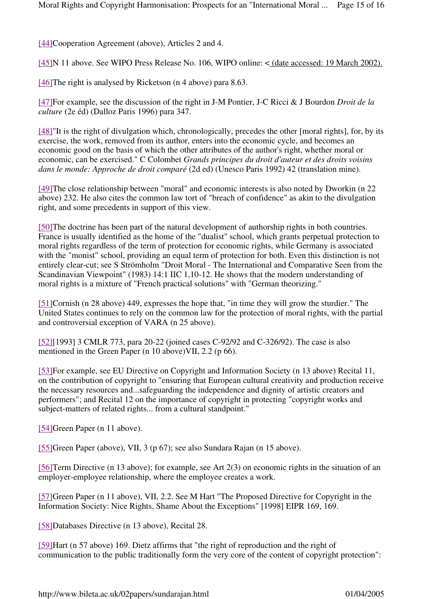[44]Cooperation Agreement (above), Articles 2 and 4.

[45]N 11 above. See WIPO Press Release No. 106, WIPO online: < (date accessed: 19 March 2002).

[46] The right is analysed by Ricketson (n 4 above) para 8.63.

[47]For example, see the discussion of the right in J-M Pontier, J-C Ricci & J Bourdon *Droit de la culture* (2e éd) (Dalloz Paris 1996) para 347.

[48]"It is the right of divulgation which, chronologically, precedes the other [moral rights], for, by its exercise, the work, removed from its author, enters into the economic cycle, and becomes an economic good on the basis of which the other attributes of the author's right, whether moral or economic, can be exercised." C Colombet *Grands principes du droit d'auteur et des droits voisins dans le monde: Approche de droit comparé* (2d ed) (Unesco Paris 1992) 42 (translation mine).

[49]The close relationship between "moral" and economic interests is also noted by Dworkin (n 22 above) 232. He also cites the common law tort of "breach of confidence" as akin to the divulgation right, and some precedents in support of this view.

[50]The doctrine has been part of the natural development of authorship rights in both countries. France is usually identified as the home of the "dualist" school, which grants perpetual protection to moral rights regardless of the term of protection for economic rights, while Germany is associated with the "monist" school, providing an equal term of protection for both. Even this distinction is not entirely clear-cut; see S Strömholm "Droit Moral - The International and Comparative Seen from the Scandinavian Viewpoint" (1983) 14:1 IIC 1,10-12. He shows that the modern understanding of moral rights is a mixture of "French practical solutions" with "German theorizing."

[51]Cornish (n 28 above) 449, expresses the hope that, "in time they will grow the sturdier." The United States continues to rely on the common law for the protection of moral rights, with the partial and controversial exception of VARA (n 25 above).

[52][1993] 3 CMLR 773, para 20-22 (joined cases C-92/92 and C-326/92). The case is also mentioned in the Green Paper (n 10 above)VII, 2.2 (p 66).

[53]For example, see EU Directive on Copyright and Information Society (n 13 above) Recital 11, on the contribution of copyright to "ensuring that European cultural creativity and production receive the necessary resources and...safeguarding the independence and dignity of artistic creators and performers"; and Recital 12 on the importance of copyright in protecting "copyright works and subject-matters of related rights... from a cultural standpoint."

[54]Green Paper (n 11 above).

[55]Green Paper (above), VII, 3 (p 67); see also Sundara Rajan (n 15 above).

[56]Term Directive (n 13 above); for example, see Art 2(3) on economic rights in the situation of an employer-employee relationship, where the employee creates a work.

[57]Green Paper (n 11 above), VII, 2.2. See M Hart "The Proposed Directive for Copyright in the Information Society: Nice Rights, Shame About the Exceptions" [1998] EIPR 169, 169.

[58]Databases Directive (n 13 above), Recital 28.

[59]Hart (n 57 above) 169. Dietz affirms that "the right of reproduction and the right of communication to the public traditionally form the very core of the content of copyright protection":